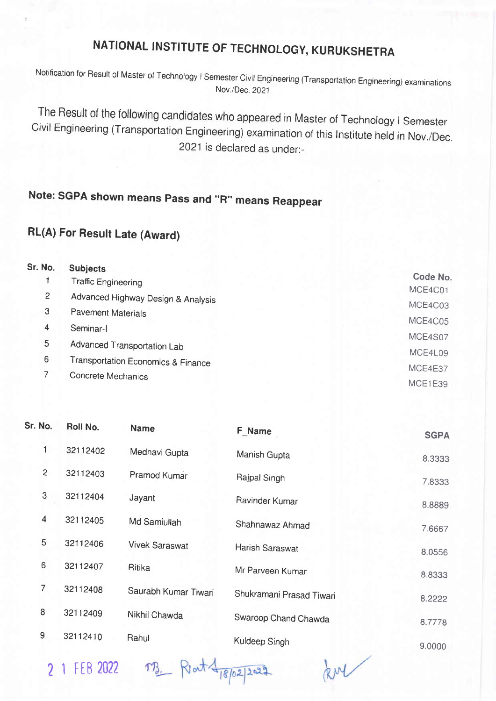## NATIONAL INSTITUTE OF TECHNOLOGY, KURUKSHETRA

Notification for Result of Master of rechnology I semester civil Engineering (Transportation Engineering) examinations Nov./Dec.2021

The Result of the following candidates who appeared in Master of Technology I Semester<br>Civil Engineering (Transportation Engineering) examination of this Institute held in Nov./Dec. 2021 is declared as under:-

## Note: SGPA shown means Pass and "R" means Reappear

## RL(A) For Result Late (Award)

| Sr. No. | <b>Subjects</b>                    |          |
|---------|------------------------------------|----------|
|         | <b>Traffic Engineering</b>         | Code No. |
| 2       | Advanced Highway Design & Analysis | MCE4C01  |
| 3       | <b>Pavement Materials</b>          | MCE4C03  |
| 4       | Seminar-I                          | MCE4C05  |
| 5       |                                    | MCE4S07  |
| 6       | Advanced Transportation Lab        | MCE4L09  |
|         | Transportation Economics & Finance | MCE4E37  |
|         | Concrete Mechanics                 | MCE1E39  |
|         |                                    |          |

| Roll No. | <b>Name</b>           | <b>F_Name</b>            | <b>SGPA</b> |
|----------|-----------------------|--------------------------|-------------|
| 32112402 | Medhavi Gupta         | Manish Gupta             | 8.3333      |
| 32112403 | Pramod Kumar          | Rajpal Singh             | 7.8333      |
| 32112404 | Jayant                | Ravinder Kumar           | 8.8889      |
| 32112405 | Md Samiullah          | Shahnawaz Ahmad          | 7.6667      |
| 32112406 | <b>Vivek Saraswat</b> | Harish Saraswat          | 8.0556      |
| 32112407 | Ritika                | Mr Parveen Kumar         | 8.8333      |
| 32112408 | Saurabh Kumar Tiwari  | Shukramani Prasad Tiwari | 8.2222      |
| 32112409 | Nikhil Chawda         | Swaroop Chand Chawda     | 8.7778      |
| 32112410 | Rahul                 | Kuldeep Singh            | 9.0000      |
|          |                       |                          |             |

2 1 FEB 2022 TB. Rent 4 18/02/2022

kul